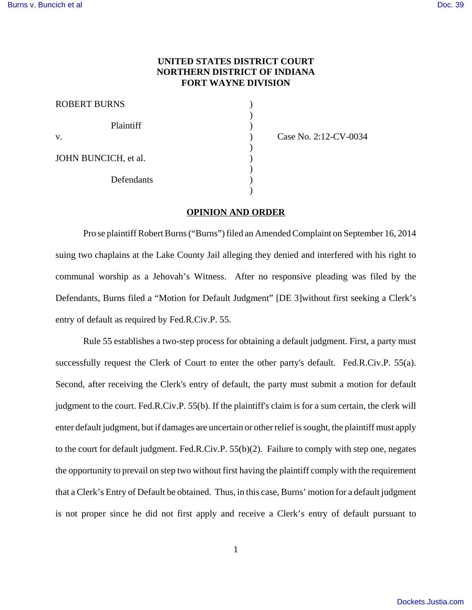## **UNITED STATES DISTRICT COURT NORTHERN DISTRICT OF INDIANA FORT WAYNE DIVISION**

| <b>ROBERT BURNS</b>  |  |
|----------------------|--|
| Plaintiff            |  |
| V.                   |  |
| JOHN BUNCICH, et al. |  |
| Defendants           |  |
|                      |  |

Case No. 2:12-CV-0034

## **OPINION AND ORDER**

Pro se plaintiff Robert Burns ("Burns") filed an Amended Complaint on September 16, 2014 suing two chaplains at the Lake County Jail alleging they denied and interfered with his right to communal worship as a Jehovah's Witness. After no responsive pleading was filed by the Defendants, Burns filed a "Motion for Default Judgment" [DE 3]without first seeking a Clerk's entry of default as required by Fed.R.Civ.P. 55.

Rule 55 establishes a two-step process for obtaining a default judgment. First, a party must successfully request the Clerk of Court to enter the other party's default. Fed.R.Civ.P. 55(a). Second, after receiving the Clerk's entry of default, the party must submit a motion for default judgment to the court. Fed.R.Civ.P. 55(b). If the plaintiff's claim is for a sum certain, the clerk will enter default judgment, but if damages are uncertain or other relief is sought, the plaintiff must apply to the court for default judgment. Fed.R.Civ.P. 55(b)(2). Failure to comply with step one, negates the opportunity to prevail on step two without first having the plaintiff comply with the requirement that a Clerk's Entry of Default be obtained. Thus, in this case, Burns' motion for a default judgment is not proper since he did not first apply and receive a Clerk's entry of default pursuant to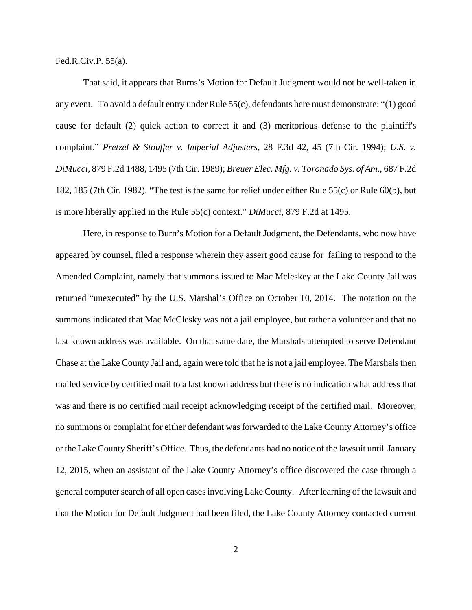Fed.R.Civ.P. 55(a).

That said, it appears that Burns's Motion for Default Judgment would not be well-taken in any event. To avoid a default entry under Rule 55(c), defendants here must demonstrate: "(1) good cause for default (2) quick action to correct it and (3) meritorious defense to the plaintiff's complaint." *Pretzel & Stouffer v. Imperial Adjusters,* 28 F.3d 42, 45 (7th Cir. 1994); *U.S. v. DiMucci,* 879 F.2d 1488, 1495 (7th Cir. 1989); *Breuer Elec. Mfg. v. Toronado Sys. of Am.,* 687 F.2d 182, 185 (7th Cir. 1982). "The test is the same for relief under either Rule 55(c) or Rule 60(b), but is more liberally applied in the Rule 55(c) context." *DiMucci,* 879 F.2d at 1495.

Here, in response to Burn's Motion for a Default Judgment, the Defendants, who now have appeared by counsel, filed a response wherein they assert good cause for failing to respond to the Amended Complaint, namely that summons issued to Mac Mcleskey at the Lake County Jail was returned "unexecuted" by the U.S. Marshal's Office on October 10, 2014. The notation on the summons indicated that Mac McClesky was not a jail employee, but rather a volunteer and that no last known address was available. On that same date, the Marshals attempted to serve Defendant Chase at the Lake County Jail and, again were told that he is not a jail employee. The Marshals then mailed service by certified mail to a last known address but there is no indication what address that was and there is no certified mail receipt acknowledging receipt of the certified mail. Moreover, no summons or complaint for either defendant was forwarded to the Lake County Attorney's office or the Lake County Sheriff's Office. Thus, the defendants had no notice of the lawsuit until January 12, 2015, when an assistant of the Lake County Attorney's office discovered the case through a general computer search of all open cases involving Lake County. After learning of the lawsuit and that the Motion for Default Judgment had been filed, the Lake County Attorney contacted current